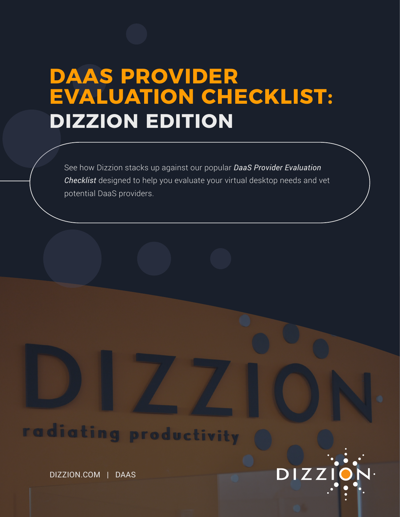# **DAAS PROVIDER EVALUATION CHECKLIST: DIZZION EDITION**

See how Dizzion stacks up against our popular *DaaS Provider Evaluation Checklist* designed to help you evaluate your virtual desktop needs and vet potential DaaS providers.

DIZZI

# radiating productivity

DIZZION.COM | DAAS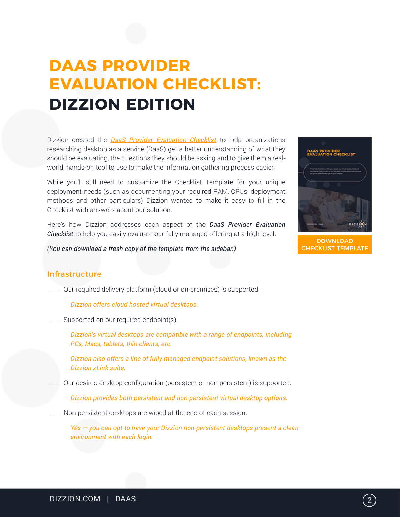# **DAAS PROVIDER EVALUATION CHECKLIST: DIZZION EDITION**

Dizzion created the *[DaaS Provider Evaluation Checklist](https://www.dizzion.com/wp-content/uploads/2016/12/DaaS-Provider-Evaluation-Checklist.pdf)* to help organizations researching desktop as a service (DaaS) get a better understanding of what they should be evaluating, the questions they should be asking and to give them a realworld, hands-on tool to use to make the information gathering process easier.

While you'll still need to customize the Checklist Template for your unique deployment needs (such as documenting your required RAM, CPUs, deployment methods and other particulars) Dizzion wanted to make it easy to fill in the Checklist with answers about our solution.

Here's how Dizzion addresses each aspect of the *DaaS Provider Evaluation Checklist* to help you easily evaluate our fully managed offering at a high level.

*(You can download a fresh copy of the template from the sidebar.)*



```
DOWNLOAD
CHECKLIST TEMPLATE
```
## Infrastructure

\_\_\_\_ Our required delivery platform (cloud or on-premises) is supported.

*Dizzion offers cloud hosted virtual desktops.*

\_\_\_\_ Supported on our required endpoint(s).

*Dizzion's virtual desktops are compatible with a range of endpoints, including PCs, Macs, tablets, thin clients, etc.*

*Dizzion also offers a line of fully managed endpoint solutions, known as the Dizzion zLink suite.*

Our desired desktop configuration (persistent or non-persistent) is supported.

*Dizzion provides both persistent and non-persistent virtual desktop options.*

Non-persistent desktops are wiped at the end of each session.

*Yes — you can opt to have your Dizzion non-persistent desktops present a clean environment with each login.*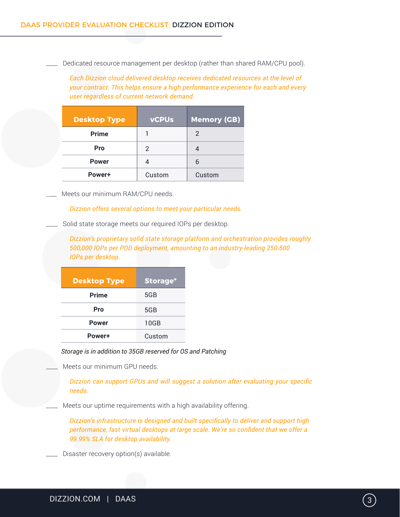Dedicated resource management per desktop (rather than shared RAM/CPU pool).

*Each Dizzion cloud delivered desktop receives dedicated resources at the level of your contract. This helps ensure a high performance experience for each and every user regardless of current network demand.*

| <b>Desktop Type</b> | <b>vCPUs</b> | <b>Memory (GB)</b> |
|---------------------|--------------|--------------------|
| <b>Prime</b>        |              | 2                  |
| Pro                 | 2            |                    |
| <b>Power</b>        |              | 6                  |
| Power+              | Custom       | Custom             |

Meets our minimum RAM/CPU needs.

*Dizzion offers several options to meet your particular needs.*

\_\_\_\_ Solid state storage meets our required IOPs per desktop.

*Dizzion's proprietary solid state storage platform and orchestration provides roughly 500,000 IOPs per POD deployment, amounting to an industry-leading 250-500 IOPs per desktop.*

| <b>Desktop Type</b> | <b>Storage*</b> |
|---------------------|-----------------|
| <b>Prime</b>        | 5GB             |
| Pro                 | 5GB             |
| <b>Power</b>        | 10GB            |
| Power+              | Custom          |

*Storage is in addition to 35GB reserved for OS and Patching*

Meets our minimum GPU needs.

*Dizzion can support GPUs and will suggest a solution after evaluating your specific needs.*

Meets our uptime requirements with a high availability offering.

*Dizzion's infrastructure is designed and built specifically to deliver and support high performance, fast virtual desktops at large scale. We're so confident that we offer a 99.99% SLA for desktop availability.*

Disaster recovery option(s) available.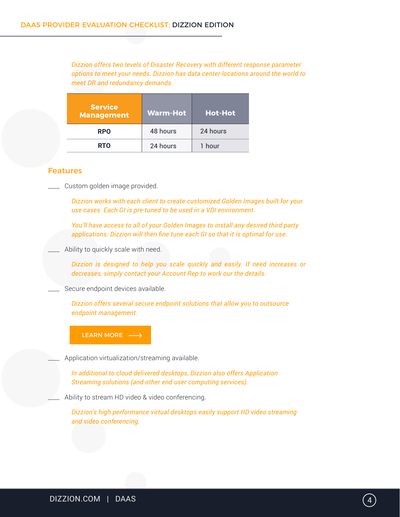*Dizzion offers two levels of Disaster Recovery with different response parameter options to meet your needs. Dizzion has data center locations around the world to meet DR and redundancy demands.*

| <b>Service</b><br><b>Management</b> | <b>Warm-Hot</b> | <b>Hot-Hot</b> |
|-------------------------------------|-----------------|----------------|
| <b>RPO</b>                          | 48 hours        | 24 hours       |
| <b>RTO</b>                          | 24 hours        | 1 hour         |

### Features

\_\_\_\_ Custom golden image provided.

*Dizzion works with each client to create customized Golden Images built for your use cases. Each GI is pre-tuned to be used in a VDI environment.* 

*You'll have access to all of your Golden Images to install any desired third party applications. Dizzion will then fine tune each GI so that it is optimal for use.*

#### Ability to quickly scale with need.

*Dizzion is designed to help you scale quickly and easily. If need increases or decreases, simply contact your Account Rep to work our the details.*

Secure endpoint devices available.

*Dizzion offers several secure endpoint solutions that allow you to outsource endpoint management.* 

[LEARN MORE](https://www.dizzion.com/services/security-controls/) -

Application virtualization/streaming available.

*In additional to cloud delivered desktops, Dizzion also offers Application Streaming solutions (and other end user computing services).*

Ability to stream HD video & video conferencing.

*Dizzion's high performance virtual desktops easily support HD video streaming and video conferencing.*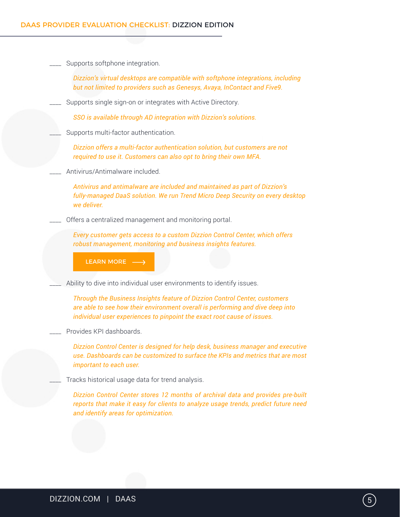### DAAS PROVIDER EVALUATION CHECKLIST: DIZZION EDITION

| Supports softphone integration.                                                                                                                                                                                                         |
|-----------------------------------------------------------------------------------------------------------------------------------------------------------------------------------------------------------------------------------------|
| Dizzion's virtual desktops are compatible with softphone integrations, including<br>but not limited to providers such as Genesys, Avaya, InContact and Five9.                                                                           |
| Supports single sign-on or integrates with Active Directory.                                                                                                                                                                            |
| SSO is available through AD integration with Dizzion's solutions.                                                                                                                                                                       |
| Supports multi-factor authentication.                                                                                                                                                                                                   |
| Dizzion offers a multi-factor authentication solution, but customers are not<br>required to use it. Customers can also opt to bring their own MFA.                                                                                      |
| Antivirus/Antimalware included.                                                                                                                                                                                                         |
| Antivirus and antimalware are included and maintained as part of Dizzion's<br>fully-managed DaaS solution. We run Trend Micro Deep Security on every desktop<br>we deliver.                                                             |
| Offers a centralized management and monitoring portal.                                                                                                                                                                                  |
| Every customer gets access to a custom Dizzion Control Center, which offers<br>robust management, monitoring and business insights features.                                                                                            |
| LEARN MORE ->                                                                                                                                                                                                                           |
| Ability to dive into individual user environments to identify issues.                                                                                                                                                                   |
| Through the Business Insights feature of Dizzion Control Center, customers<br>are able to see how their environment overall is performing and dive deep into<br>individual user experiences to pinpoint the exact root cause of issues. |
| Provides KPI dashboards.                                                                                                                                                                                                                |
| Dizzion Control Center is designed for help desk, business manager and executive<br>use. Dashboards can be customized to surface the KPIs and metrics that are most<br>important to each user.                                          |
| Tracks historical usage data for trend analysis.                                                                                                                                                                                        |
| Dizzion Control Center stores 12 months of archival data and provides pre-built<br>reports that make it easy for clients to analyze usage trends, predict future need<br>and identify areas for optimization.                           |
|                                                                                                                                                                                                                                         |
|                                                                                                                                                                                                                                         |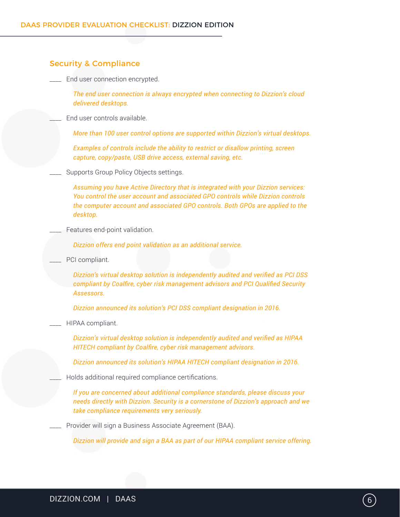| <b>Security &amp; Compliance</b> |                                                                                                                                                                                                                                                                    |  |
|----------------------------------|--------------------------------------------------------------------------------------------------------------------------------------------------------------------------------------------------------------------------------------------------------------------|--|
|                                  | End user connection encrypted.                                                                                                                                                                                                                                     |  |
|                                  | The end user connection is always encrypted when connecting to Dizzion's cloud<br>delivered desktops.                                                                                                                                                              |  |
|                                  | End user controls available.                                                                                                                                                                                                                                       |  |
|                                  | More than 100 user control options are supported within Dizzion's virtual desktops.                                                                                                                                                                                |  |
|                                  | Examples of controls include the ability to restrict or disallow printing, screen<br>capture, copy/paste, USB drive access, external saving, etc.                                                                                                                  |  |
|                                  | Supports Group Policy Objects settings.                                                                                                                                                                                                                            |  |
|                                  | Assuming you have Active Directory that is integrated with your Dizzion services:<br>You control the user account and associated GPO controls while Dizzion controls<br>the computer account and associated GPO controls. Both GPOs are applied to the<br>desktop. |  |
|                                  | Features end-point validation.                                                                                                                                                                                                                                     |  |
|                                  | Dizzion offers end point validation as an additional service.                                                                                                                                                                                                      |  |
|                                  | PCI compliant.                                                                                                                                                                                                                                                     |  |
|                                  | Dizzion's virtual desktop solution is independently audited and verified as PCI DSS<br>compliant by Coalfire, cyber risk management advisors and PCI Qualified Security<br>Assessors.                                                                              |  |
|                                  | Dizzion announced its solution's PCI DSS compliant designation in 2016.                                                                                                                                                                                            |  |
|                                  | HIPAA compliant.                                                                                                                                                                                                                                                   |  |
|                                  | Dizzion's virtual desktop solution is independently audited and verified as HIPAA<br>HITECH compliant by Coalfire, cyber risk management advisors.                                                                                                                 |  |
|                                  | Dizzion announced its solution's HIPAA HITECH compliant designation in 2016.                                                                                                                                                                                       |  |
|                                  | Holds additional required compliance certifications.                                                                                                                                                                                                               |  |
|                                  | If you are concerned about additional compliance standards, please discuss your<br>needs directly with Dizzion. Security is a cornerstone of Dizzion's approach and we<br>take compliance requirements very seriously.                                             |  |
|                                  | Provider will sign a Business Associate Agreement (BAA).                                                                                                                                                                                                           |  |
|                                  | Dizzion will provide and sign a BAA as part of our HIPAA compliant service offering.                                                                                                                                                                               |  |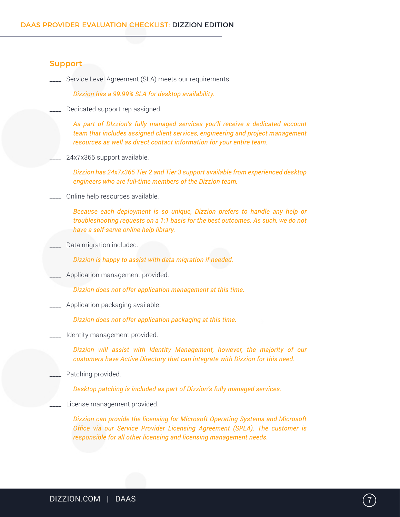### Support

\_\_\_\_ Service Level Agreement (SLA) meets our requirements.

*Dizzion has a 99.99% SLA for desktop availability.*

Dedicated support rep assigned.

*As part of DIzzion's fully managed services you'll receive a dedicated account team that includes assigned client services, engineering and project management resources as well as direct contact information for your entire team.*

24x7x365 support available.

*Dizzion has 24x7x365 Tier 2 and Tier 3 support available from experienced desktop engineers who are full-time members of the Dizzion team.*

#### \_\_\_\_ Online help resources available.

*Because each deployment is so unique, Dizzion prefers to handle any help or troubleshooting requests on a 1:1 basis for the best outcomes. As such, we do not have a self-serve online help library.*

Data migration included.

*Dizzion is happy to assist with data migration if needed.*

Application management provided.

*Dizzion does not offer application management at this time.*

\_\_\_\_ Application packaging available.

*Dizzion does not offer application packaging at this time.*

\_\_\_\_ Identity management provided.

*Dizzion will assist with Identity Management, however, the majority of our customers have Active Directory that can integrate with Dizzion for this need.*

Patching provided.

*Desktop patching is included as part of Dizzion's fully managed services.*

License management provided.

*Dizzion can provide the licensing for Microsoft Operating Systems and Microsoft Office via our Service Provider Licensing Agreement (SPLA). The customer is responsible for all other licensing and licensing management needs.*